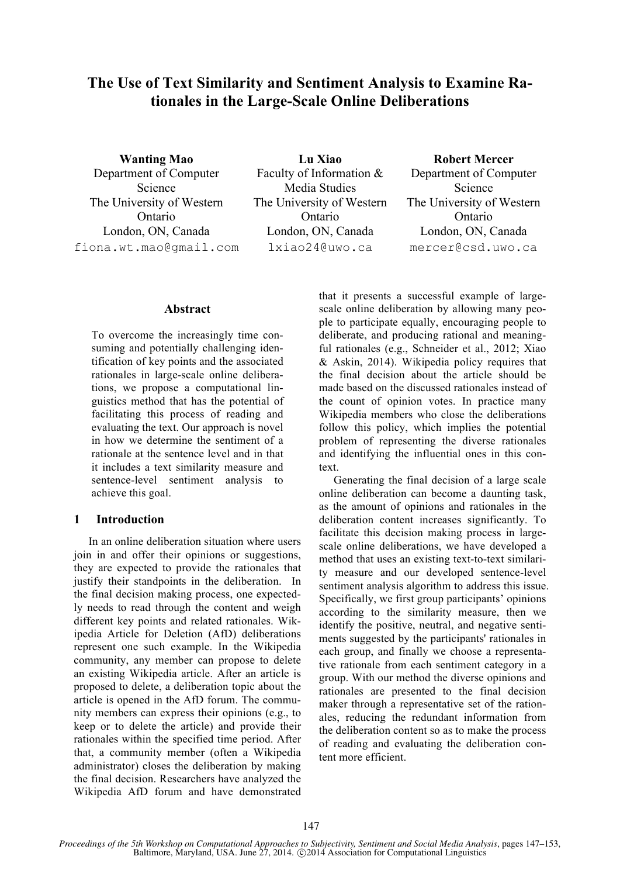# **The Use of Text Similarity and Sentiment Analysis to Examine Rationales in the Large-Scale Online Deliberations**

**Wanting Mao** Department of Computer Science The University of Western Ontario London, ON, Canada fiona.wt.mao@gmail.com

**Lu Xiao** Faculty of Information & Media Studies The University of Western Ontario London, ON, Canada lxiao24@uwo.ca

**Robert Mercer** Department of Computer Science The University of Western Ontario London, ON, Canada mercer@csd.uwo.ca

#### **Abstract**

To overcome the increasingly time consuming and potentially challenging identification of key points and the associated rationales in large-scale online deliberations, we propose a computational linguistics method that has the potential of facilitating this process of reading and evaluating the text. Our approach is novel in how we determine the sentiment of a rationale at the sentence level and in that it includes a text similarity measure and sentence-level sentiment analysis to achieve this goal.

# **1 Introduction**

In an online deliberation situation where users join in and offer their opinions or suggestions, they are expected to provide the rationales that justify their standpoints in the deliberation. In the final decision making process, one expectedly needs to read through the content and weigh different key points and related rationales. Wikipedia Article for Deletion (AfD) deliberations represent one such example. In the Wikipedia community, any member can propose to delete an existing Wikipedia article. After an article is proposed to delete, a deliberation topic about the article is opened in the AfD forum. The community members can express their opinions (e.g., to keep or to delete the article) and provide their rationales within the specified time period. After that, a community member (often a Wikipedia administrator) closes the deliberation by making the final decision. Researchers have analyzed the Wikipedia AfD forum and have demonstrated that it presents a successful example of largescale online deliberation by allowing many people to participate equally, encouraging people to deliberate, and producing rational and meaningful rationales (e.g., Schneider et al., 2012; Xiao & Askin, 2014). Wikipedia policy requires that the final decision about the article should be made based on the discussed rationales instead of the count of opinion votes. In practice many Wikipedia members who close the deliberations follow this policy, which implies the potential problem of representing the diverse rationales and identifying the influential ones in this context.

Generating the final decision of a large scale online deliberation can become a daunting task, as the amount of opinions and rationales in the deliberation content increases significantly. To facilitate this decision making process in largescale online deliberations, we have developed a method that uses an existing text-to-text similarity measure and our developed sentence-level sentiment analysis algorithm to address this issue. Specifically, we first group participants' opinions according to the similarity measure, then we identify the positive, neutral, and negative sentiments suggested by the participants' rationales in each group, and finally we choose a representative rationale from each sentiment category in a group. With our method the diverse opinions and rationales are presented to the final decision maker through a representative set of the rationales, reducing the redundant information from the deliberation content so as to make the process of reading and evaluating the deliberation content more efficient.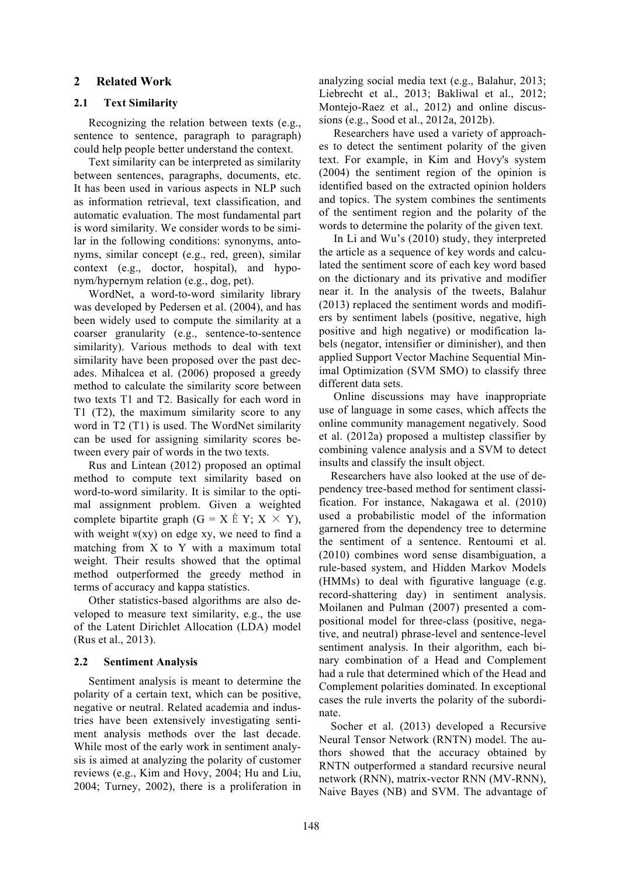# **2 Related Work**

### **2.1 Text Similarity**

Recognizing the relation between texts (e.g., sentence to sentence, paragraph to paragraph) could help people better understand the context.

Text similarity can be interpreted as similarity between sentences, paragraphs, documents, etc. It has been used in various aspects in NLP such as information retrieval, text classification, and automatic evaluation. The most fundamental part is word similarity. We consider words to be similar in the following conditions: synonyms, antonyms, similar concept (e.g., red, green), similar context (e.g., doctor, hospital), and hyponym/hypernym relation (e.g., dog, pet).

WordNet, a word-to-word similarity library was developed by Pedersen et al. (2004), and has been widely used to compute the similarity at a coarser granularity (e.g., sentence-to-sentence similarity). Various methods to deal with text similarity have been proposed over the past decades. Mihalcea et al. (2006) proposed a greedy method to calculate the similarity score between two texts T1 and T2. Basically for each word in T1 (T2), the maximum similarity score to any word in T2 (T1) is used. The WordNet similarity can be used for assigning similarity scores between every pair of words in the two texts.

Rus and Lintean (2012) proposed an optimal method to compute text similarity based on word-to-word similarity. It is similar to the optimal assignment problem. Given a weighted complete bipartite graph  $(G = X \r{E} Y; X \times Y)$ , with weight  $w(xy)$  on edge xy, we need to find a matching from X to Y with a maximum total weight. Their results showed that the optimal method outperformed the greedy method in terms of accuracy and kappa statistics.

Other statistics-based algorithms are also developed to measure text similarity, e.g., the use of the Latent Dirichlet Allocation (LDA) model (Rus et al., 2013).

#### **2.2 Sentiment Analysis**

Sentiment analysis is meant to determine the polarity of a certain text, which can be positive, negative or neutral. Related academia and industries have been extensively investigating sentiment analysis methods over the last decade. While most of the early work in sentiment analysis is aimed at analyzing the polarity of customer reviews (e.g., Kim and Hovy, 2004; Hu and Liu, 2004; Turney, 2002), there is a proliferation in analyzing social media text (e.g., Balahur, 2013; Liebrecht et al., 2013; Bakliwal et al., 2012; Montejo-Raez et al., 2012) and online discussions (e.g., Sood et al., 2012a, 2012b).

Researchers have used a variety of approaches to detect the sentiment polarity of the given text. For example, in Kim and Hovy's system (2004) the sentiment region of the opinion is identified based on the extracted opinion holders and topics. The system combines the sentiments of the sentiment region and the polarity of the words to determine the polarity of the given text.

In Li and Wu's (2010) study, they interpreted the article as a sequence of key words and calculated the sentiment score of each key word based on the dictionary and its privative and modifier near it. In the analysis of the tweets, Balahur (2013) replaced the sentiment words and modifiers by sentiment labels (positive, negative, high positive and high negative) or modification labels (negator, intensifier or diminisher), and then applied Support Vector Machine Sequential Minimal Optimization (SVM SMO) to classify three different data sets.

Online discussions may have inappropriate use of language in some cases, which affects the online community management negatively. Sood et al. (2012a) proposed a multistep classifier by combining valence analysis and a SVM to detect insults and classify the insult object.

Researchers have also looked at the use of dependency tree-based method for sentiment classification. For instance, Nakagawa et al. (2010) used a probabilistic model of the information garnered from the dependency tree to determine the sentiment of a sentence. Rentoumi et al. (2010) combines word sense disambiguation, a rule-based system, and Hidden Markov Models (HMMs) to deal with figurative language (e.g. record-shattering day) in sentiment analysis. Moilanen and Pulman (2007) presented a compositional model for three-class (positive, negative, and neutral) phrase-level and sentence-level sentiment analysis. In their algorithm, each binary combination of a Head and Complement had a rule that determined which of the Head and Complement polarities dominated. In exceptional cases the rule inverts the polarity of the subordinate.

Socher et al. (2013) developed a Recursive Neural Tensor Network (RNTN) model. The authors showed that the accuracy obtained by RNTN outperformed a standard recursive neural network (RNN), matrix-vector RNN (MV-RNN), Naive Bayes (NB) and SVM. The advantage of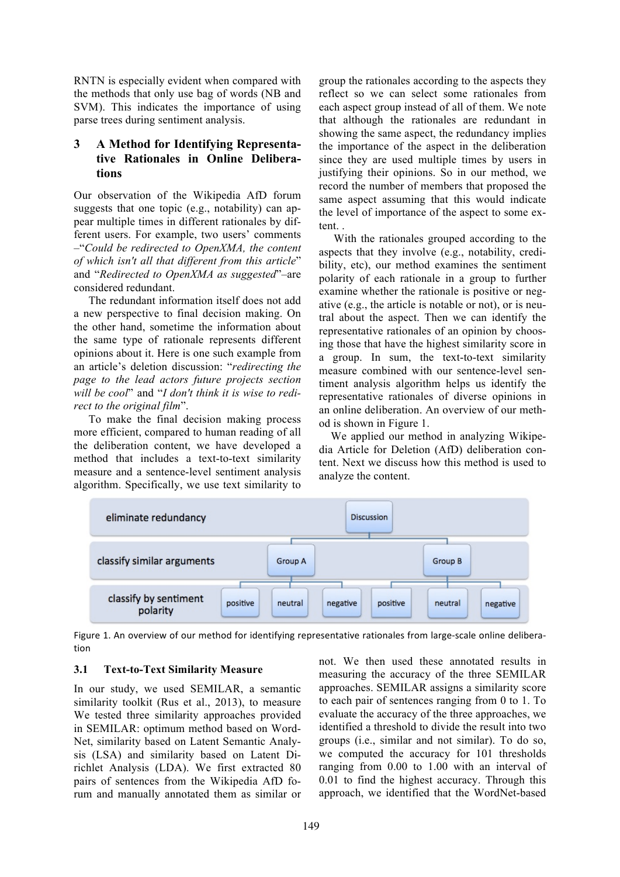RNTN is especially evident when compared with the methods that only use bag of words (NB and SVM). This indicates the importance of using parse trees during sentiment analysis.

# **3 A Method for Identifying Representative Rationales in Online Deliberations**

Our observation of the Wikipedia AfD forum suggests that one topic (e.g., notability) can appear multiple times in different rationales by different users. For example, two users' comments –"*Could be redirected to OpenXMA, the content of which isn't all that different from this article*" and "*Redirected to OpenXMA as suggested*"–are considered redundant.

The redundant information itself does not add a new perspective to final decision making. On the other hand, sometime the information about the same type of rationale represents different opinions about it. Here is one such example from an article's deletion discussion: "*redirecting the page to the lead actors future projects section will be cool*" and "*I don't think it is wise to redirect to the original film*".

To make the final decision making process more efficient, compared to human reading of all the deliberation content, we have developed a method that includes a text-to-text similarity measure and a sentence-level sentiment analysis algorithm. Specifically, we use text similarity to

group the rationales according to the aspects they reflect so we can select some rationales from each aspect group instead of all of them. We note that although the rationales are redundant in showing the same aspect, the redundancy implies the importance of the aspect in the deliberation since they are used multiple times by users in justifying their opinions. So in our method, we record the number of members that proposed the same aspect assuming that this would indicate the level of importance of the aspect to some extent.

With the rationales grouped according to the aspects that they involve (e.g., notability, credibility, etc), our method examines the sentiment polarity of each rationale in a group to further examine whether the rationale is positive or negative (e.g., the article is notable or not), or is neutral about the aspect. Then we can identify the representative rationales of an opinion by choosing those that have the highest similarity score in a group. In sum, the text-to-text similarity measure combined with our sentence-level sentiment analysis algorithm helps us identify the representative rationales of diverse opinions in an online deliberation. An overview of our method is shown in Figure 1.

We applied our method in analyzing Wikipedia Article for Deletion (AfD) deliberation content. Next we discuss how this method is used to analyze the content.



Figure 1. An overview of our method for identifying representative rationales from large-scale online deliberation

# **3.1 Text-to-Text Similarity Measure**

In our study, we used SEMILAR, a semantic similarity toolkit (Rus et al., 2013), to measure We tested three similarity approaches provided in SEMILAR: optimum method based on Word-Net, similarity based on Latent Semantic Analysis (LSA) and similarity based on Latent Dirichlet Analysis (LDA). We first extracted 80 pairs of sentences from the Wikipedia AfD forum and manually annotated them as similar or

not. We then used these annotated results in measuring the accuracy of the three SEMILAR approaches. SEMILAR assigns a similarity score to each pair of sentences ranging from 0 to 1. To evaluate the accuracy of the three approaches, we identified a threshold to divide the result into two groups (i.e., similar and not similar). To do so, we computed the accuracy for 101 thresholds ranging from 0.00 to 1.00 with an interval of 0.01 to find the highest accuracy. Through this approach, we identified that the WordNet-based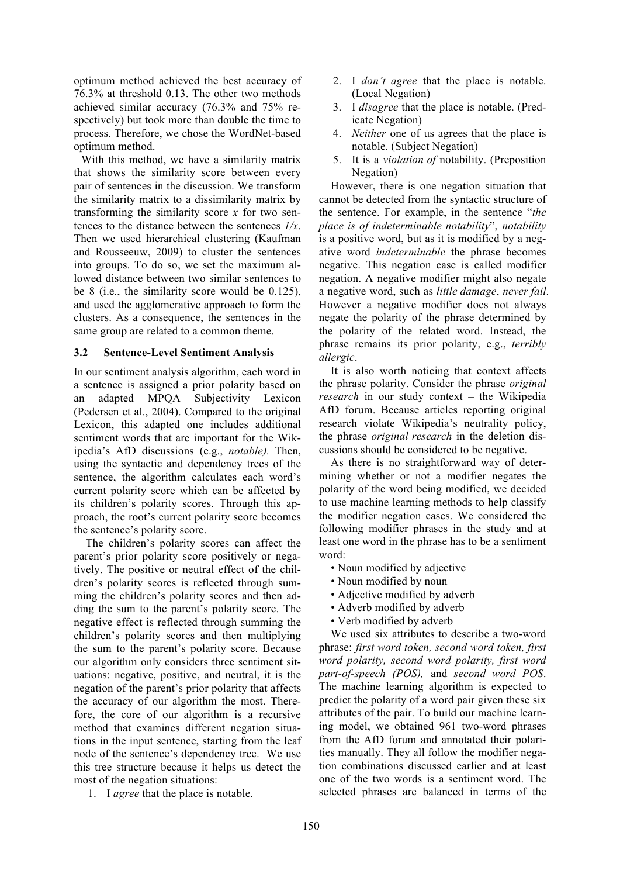optimum method achieved the best accuracy of 76.3% at threshold 0.13. The other two methods achieved similar accuracy (76.3% and 75% respectively) but took more than double the time to process. Therefore, we chose the WordNet-based optimum method.

With this method, we have a similarity matrix that shows the similarity score between every pair of sentences in the discussion. We transform the similarity matrix to a dissimilarity matrix by transforming the similarity score *x* for two sentences to the distance between the sentences *1/x*. Then we used hierarchical clustering (Kaufman and Rousseeuw, 2009) to cluster the sentences into groups. To do so, we set the maximum allowed distance between two similar sentences to be 8 (i.e., the similarity score would be 0.125), and used the agglomerative approach to form the clusters. As a consequence, the sentences in the same group are related to a common theme.

# **3.2 Sentence-Level Sentiment Analysis**

In our sentiment analysis algorithm, each word in a sentence is assigned a prior polarity based on an adapted MPQA Subjectivity Lexicon (Pedersen et al., 2004). Compared to the original Lexicon, this adapted one includes additional sentiment words that are important for the Wikipedia's AfD discussions (e.g., *notable).* Then, using the syntactic and dependency trees of the sentence, the algorithm calculates each word's current polarity score which can be affected by its children's polarity scores. Through this approach, the root's current polarity score becomes the sentence's polarity score.

The children's polarity scores can affect the parent's prior polarity score positively or negatively. The positive or neutral effect of the children's polarity scores is reflected through summing the children's polarity scores and then adding the sum to the parent's polarity score. The negative effect is reflected through summing the children's polarity scores and then multiplying the sum to the parent's polarity score. Because our algorithm only considers three sentiment situations: negative, positive, and neutral, it is the negation of the parent's prior polarity that affects the accuracy of our algorithm the most. Therefore, the core of our algorithm is a recursive method that examines different negation situations in the input sentence, starting from the leaf node of the sentence's dependency tree. We use this tree structure because it helps us detect the most of the negation situations:

1. I *agree* that the place is notable.

- 2. I *don't agree* that the place is notable. (Local Negation)
- 3. I *disagree* that the place is notable. (Predicate Negation)
- 4. *Neither* one of us agrees that the place is notable. (Subject Negation)
- 5. It is a *violation of* notability. (Preposition Negation)

However, there is one negation situation that cannot be detected from the syntactic structure of the sentence. For example, in the sentence "*the place is of indeterminable notability*", *notability* is a positive word, but as it is modified by a negative word *indeterminable* the phrase becomes negative. This negation case is called modifier negation. A negative modifier might also negate a negative word, such as *little damage*, *never fail*. However a negative modifier does not always negate the polarity of the phrase determined by the polarity of the related word. Instead, the phrase remains its prior polarity, e.g., *terribly allergic*.

It is also worth noticing that context affects the phrase polarity. Consider the phrase *original research* in our study context – the Wikipedia AfD forum. Because articles reporting original research violate Wikipedia's neutrality policy, the phrase *original research* in the deletion discussions should be considered to be negative.

As there is no straightforward way of determining whether or not a modifier negates the polarity of the word being modified, we decided to use machine learning methods to help classify the modifier negation cases. We considered the following modifier phrases in the study and at least one word in the phrase has to be a sentiment word:

- Noun modified by adjective
- Noun modified by noun
- Adjective modified by adverb
- Adverb modified by adverb
- Verb modified by adverb

We used six attributes to describe a two-word phrase: *first word token, second word token, first word polarity, second word polarity, first word part-of-speech (POS),* and *second word POS*. The machine learning algorithm is expected to predict the polarity of a word pair given these six attributes of the pair. To build our machine learning model, we obtained 961 two-word phrases from the AfD forum and annotated their polarities manually. They all follow the modifier negation combinations discussed earlier and at least one of the two words is a sentiment word. The selected phrases are balanced in terms of the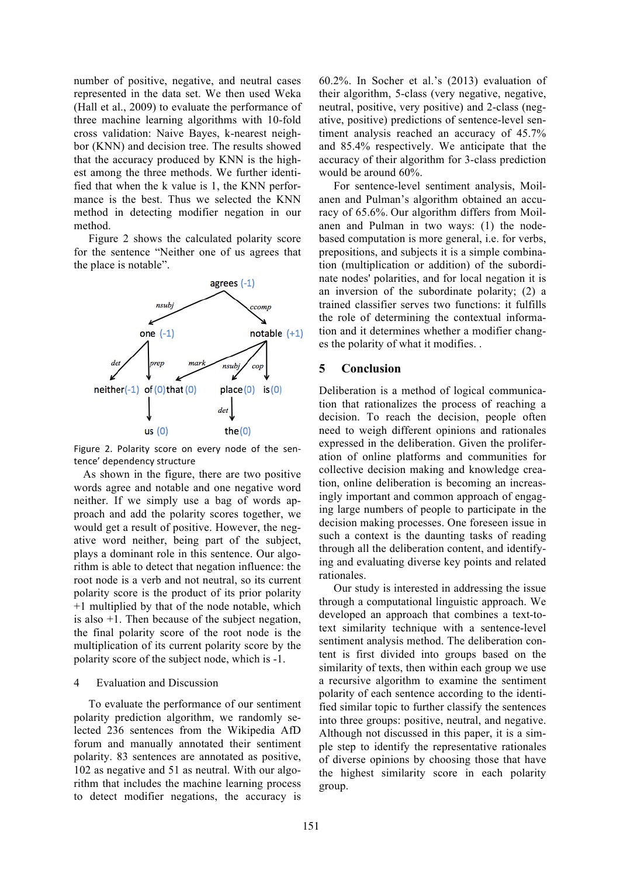number of positive, negative, and neutral cases represented in the data set. We then used Weka (Hall et al., 2009) to evaluate the performance of three machine learning algorithms with 10-fold cross validation: Naive Bayes, k-nearest neighbor (KNN) and decision tree. The results showed that the accuracy produced by KNN is the highest among the three methods. We further identified that when the k value is 1, the KNN performance is the best. Thus we selected the KNN method in detecting modifier negation in our method.

Figure 2 shows the calculated polarity score for the sentence "Neither one of us agrees that the place is notable".



Figure 2. Polarity score on every node of the sentence' dependency structure

As shown in the figure, there are two positive words agree and notable and one negative word neither. If we simply use a bag of words approach and add the polarity scores together, we would get a result of positive. However, the negative word neither, being part of the subject, plays a dominant role in this sentence. Our algorithm is able to detect that negation influence: the root node is a verb and not neutral, so its current polarity score is the product of its prior polarity +1 multiplied by that of the node notable, which is also  $+1$ . Then because of the subject negation, the final polarity score of the root node is the multiplication of its current polarity score by the polarity score of the subject node, which is -1.

#### 4 Evaluation and Discussion

To evaluate the performance of our sentiment polarity prediction algorithm, we randomly selected 236 sentences from the Wikipedia AfD forum and manually annotated their sentiment polarity. 83 sentences are annotated as positive, 102 as negative and 51 as neutral. With our algorithm that includes the machine learning process to detect modifier negations, the accuracy is 60.2%. In Socher et al.'s (2013) evaluation of their algorithm, 5-class (very negative, negative, neutral, positive, very positive) and 2-class (negative, positive) predictions of sentence-level sentiment analysis reached an accuracy of 45.7% and 85.4% respectively. We anticipate that the accuracy of their algorithm for 3-class prediction would be around 60%.

For sentence-level sentiment analysis, Moilanen and Pulman's algorithm obtained an accuracy of 65.6%. Our algorithm differs from Moilanen and Pulman in two ways: (1) the nodebased computation is more general, i.e. for verbs, prepositions, and subjects it is a simple combination (multiplication or addition) of the subordinate nodes' polarities, and for local negation it is an inversion of the subordinate polarity; (2) a trained classifier serves two functions: it fulfills the role of determining the contextual information and it determines whether a modifier changes the polarity of what it modifies. .

# **5 Conclusion**

Deliberation is a method of logical communication that rationalizes the process of reaching a decision. To reach the decision, people often need to weigh different opinions and rationales expressed in the deliberation. Given the proliferation of online platforms and communities for collective decision making and knowledge creation, online deliberation is becoming an increasingly important and common approach of engaging large numbers of people to participate in the decision making processes. One foreseen issue in such a context is the daunting tasks of reading through all the deliberation content, and identifying and evaluating diverse key points and related rationales.

Our study is interested in addressing the issue through a computational linguistic approach. We developed an approach that combines a text-totext similarity technique with a sentence-level sentiment analysis method. The deliberation content is first divided into groups based on the similarity of texts, then within each group we use a recursive algorithm to examine the sentiment polarity of each sentence according to the identified similar topic to further classify the sentences into three groups: positive, neutral, and negative. Although not discussed in this paper, it is a simple step to identify the representative rationales of diverse opinions by choosing those that have the highest similarity score in each polarity group.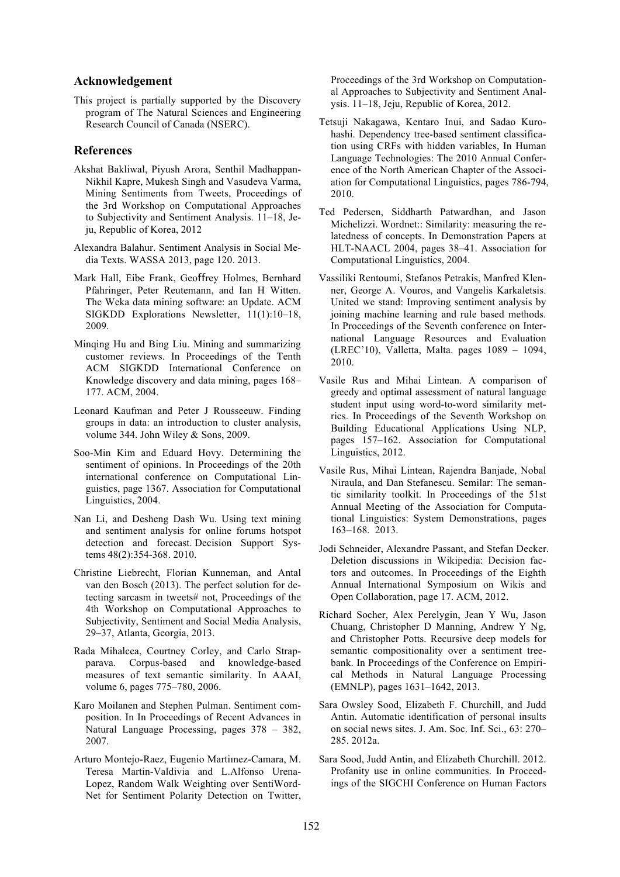# **Acknowledgement**

This project is partially supported by the Discovery program of The Natural Sciences and Engineering Research Council of Canada (NSERC).

### **References**

- Akshat Bakliwal, Piyush Arora, Senthil Madhappan-Nikhil Kapre, Mukesh Singh and Vasudeva Varma, Mining Sentiments from Tweets, Proceedings of the 3rd Workshop on Computational Approaches to Subjectivity and Sentiment Analysis. 11–18, Jeju, Republic of Korea, 2012
- Alexandra Balahur. Sentiment Analysis in Social Media Texts. WASSA 2013, page 120. 2013.
- Mark Hall, Eibe Frank, Geoffrey Holmes, Bernhard Pfahringer, Peter Reutemann, and Ian H Witten. The Weka data mining software: an Update. ACM SIGKDD Explorations Newsletter, 11(1):10–18, 2009.
- Minqing Hu and Bing Liu. Mining and summarizing customer reviews. In Proceedings of the Tenth ACM SIGKDD International Conference on Knowledge discovery and data mining, pages 168– 177. ACM, 2004.
- Leonard Kaufman and Peter J Rousseeuw. Finding groups in data: an introduction to cluster analysis, volume 344. John Wiley & Sons, 2009.
- Soo-Min Kim and Eduard Hovy. Determining the sentiment of opinions. In Proceedings of the 20th international conference on Computational Linguistics, page 1367. Association for Computational Linguistics, 2004.
- Nan Li, and Desheng Dash Wu. Using text mining and sentiment analysis for online forums hotspot detection and forecast. Decision Support Systems 48(2):354-368. 2010.
- Christine Liebrecht, Florian Kunneman, and Antal van den Bosch (2013). The perfect solution for detecting sarcasm in tweets# not, Proceedings of the 4th Workshop on Computational Approaches to Subjectivity, Sentiment and Social Media Analysis, 29–37, Atlanta, Georgia, 2013.
- Rada Mihalcea, Courtney Corley, and Carlo Strapparava. Corpus-based and knowledge-based measures of text semantic similarity. In AAAI, volume 6, pages 775–780, 2006.
- Karo Moilanen and Stephen Pulman. Sentiment composition. In In Proceedings of Recent Advances in Natural Language Processing, pages 378 – 382, 2007.
- Arturo Montejo-Raez, Eugenio Martiınez-Camara, M. Teresa Martin-Valdivia and L.Alfonso Urena-Lopez, Random Walk Weighting over SentiWord-Net for Sentiment Polarity Detection on Twitter,

Proceedings of the 3rd Workshop on Computational Approaches to Subjectivity and Sentiment Analysis. 11–18, Jeju, Republic of Korea, 2012.

- Tetsuji Nakagawa, Kentaro Inui, and Sadao Kurohashi. Dependency tree-based sentiment classification using CRFs with hidden variables, In Human Language Technologies: The 2010 Annual Conference of the North American Chapter of the Association for Computational Linguistics, pages 786-794, 2010.
- Ted Pedersen, Siddharth Patwardhan, and Jason Michelizzi. Wordnet:: Similarity: measuring the relatedness of concepts. In Demonstration Papers at HLT-NAACL 2004, pages 38–41. Association for Computational Linguistics, 2004.
- Vassiliki Rentoumi, Stefanos Petrakis, Manfred Klenner, George A. Vouros, and Vangelis Karkaletsis. United we stand: Improving sentiment analysis by joining machine learning and rule based methods. In Proceedings of the Seventh conference on International Language Resources and Evaluation (LREC'10), Valletta, Malta. pages 1089 – 1094, 2010.
- Vasile Rus and Mihai Lintean. A comparison of greedy and optimal assessment of natural language student input using word-to-word similarity metrics. In Proceedings of the Seventh Workshop on Building Educational Applications Using NLP, pages 157–162. Association for Computational Linguistics, 2012.
- Vasile Rus, Mihai Lintean, Rajendra Banjade, Nobal Niraula, and Dan Stefanescu. Semilar: The semantic similarity toolkit. In Proceedings of the 51st Annual Meeting of the Association for Computational Linguistics: System Demonstrations, pages 163–168. 2013.
- Jodi Schneider, Alexandre Passant, and Stefan Decker. Deletion discussions in Wikipedia: Decision factors and outcomes. In Proceedings of the Eighth Annual International Symposium on Wikis and Open Collaboration, page 17. ACM, 2012.
- Richard Socher, Alex Perelygin, Jean Y Wu, Jason Chuang, Christopher D Manning, Andrew Y Ng, and Christopher Potts. Recursive deep models for semantic compositionality over a sentiment treebank. In Proceedings of the Conference on Empirical Methods in Natural Language Processing (EMNLP), pages 1631–1642, 2013.
- Sara Owsley Sood, Elizabeth F. Churchill, and Judd Antin. Automatic identification of personal insults on social news sites. J. Am. Soc. Inf. Sci., 63: 270– 285. 2012a.
- Sara Sood, Judd Antin, and Elizabeth Churchill. 2012. Profanity use in online communities. In Proceedings of the SIGCHI Conference on Human Factors